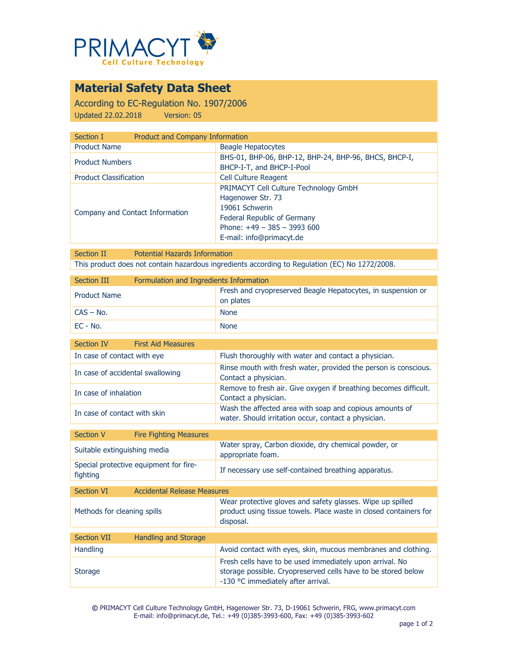

# **Material Safety Data Sheet**

According to EC-Regulation No. 1907/2006 Updated 22.02.2018 Version: 05

| <b>Product and Company Information</b><br>Section I |                                                                                                                                                                         |
|-----------------------------------------------------|-------------------------------------------------------------------------------------------------------------------------------------------------------------------------|
| <b>Product Name</b>                                 | Beagle Hepatocytes                                                                                                                                                      |
| <b>Product Numbers</b>                              | BHS-01, BHP-06, BHP-12, BHP-24, BHP-96, BHCS, BHCP-I,<br>BHCP-I-T, and BHCP-I-Pool                                                                                      |
| <b>Product Classification</b>                       | Cell Culture Reagent                                                                                                                                                    |
| Company and Contact Information                     | PRIMACYT Cell Culture Technology GmbH<br>Hagenower Str. 73<br>19061 Schwerin<br>Federal Republic of Germany<br>Phone: $+49 - 385 - 3993600$<br>E-mail: info@primacyt.de |

Section II Potential Hazards Information This product does not contain hazardous ingredients according to Regulation (EC) No 1272/2008.

| Section III         | Formulation and Ingredients Information |                                                                           |
|---------------------|-----------------------------------------|---------------------------------------------------------------------------|
| <b>Product Name</b> |                                         | Fresh and cryopreserved Beagle Hepatocytes, in suspension or<br>on plates |
| $CAS - No.$         |                                         | <b>None</b>                                                               |
| EC - No.            |                                         | <b>None</b>                                                               |

| Section IV                       | <b>First Aid Measures</b> |                                                                                                                 |  |
|----------------------------------|---------------------------|-----------------------------------------------------------------------------------------------------------------|--|
| In case of contact with eye      |                           | Flush thoroughly with water and contact a physician.                                                            |  |
| In case of accidental swallowing |                           | Rinse mouth with fresh water, provided the person is conscious.<br>Contact a physician.                         |  |
| In case of inhalation            |                           | Remove to fresh air. Give oxygen if breathing becomes difficult.<br>Contact a physician.                        |  |
| In case of contact with skin     |                           | Wash the affected area with soap and copious amounts of<br>water. Should irritation occur, contact a physician. |  |

| Section V                                          | <b>Fire Fighting Measures</b> |                                                                           |  |
|----------------------------------------------------|-------------------------------|---------------------------------------------------------------------------|--|
| Suitable extinguishing media                       |                               | Water spray, Carbon dioxide, dry chemical powder, or<br>appropriate foam. |  |
| Special protective equipment for fire-<br>fighting |                               | If necessary use self-contained breathing apparatus.                      |  |
|                                                    |                               |                                                                           |  |
| $C = -11$ and $\sqrt{T}$                           | Assistante Delegas Meganizer  |                                                                           |  |

| <b>Section VI</b>           | <b>Accidental Release Measures</b> |                                                                                                                                                                 |
|-----------------------------|------------------------------------|-----------------------------------------------------------------------------------------------------------------------------------------------------------------|
| Methods for cleaning spills |                                    | Wear protective gloves and safety glasses. Wipe up spilled<br>product using tissue towels. Place waste in closed containers for<br>disposal.                    |
|                             |                                    |                                                                                                                                                                 |
| <b>Section VII</b>          | Handling and Storage               |                                                                                                                                                                 |
| <b>Handling</b>             |                                    | Avoid contact with eyes, skin, mucous membranes and clothing.                                                                                                   |
| <b>Storage</b>              |                                    | Fresh cells have to be used immediately upon arrival. No<br>storage possible. Cryopreserved cells have to be stored below<br>-130 °C immediately after arrival. |

**©** PRIMACYT Cell Culture Technology GmbH, Hagenower Str. 73, D-19061 Schwerin, FRG, www.primacyt.com E-mail: info@primacyt.de, Tel.: +49 (0)385-3993-600, Fax: +49 (0)385-3993-602